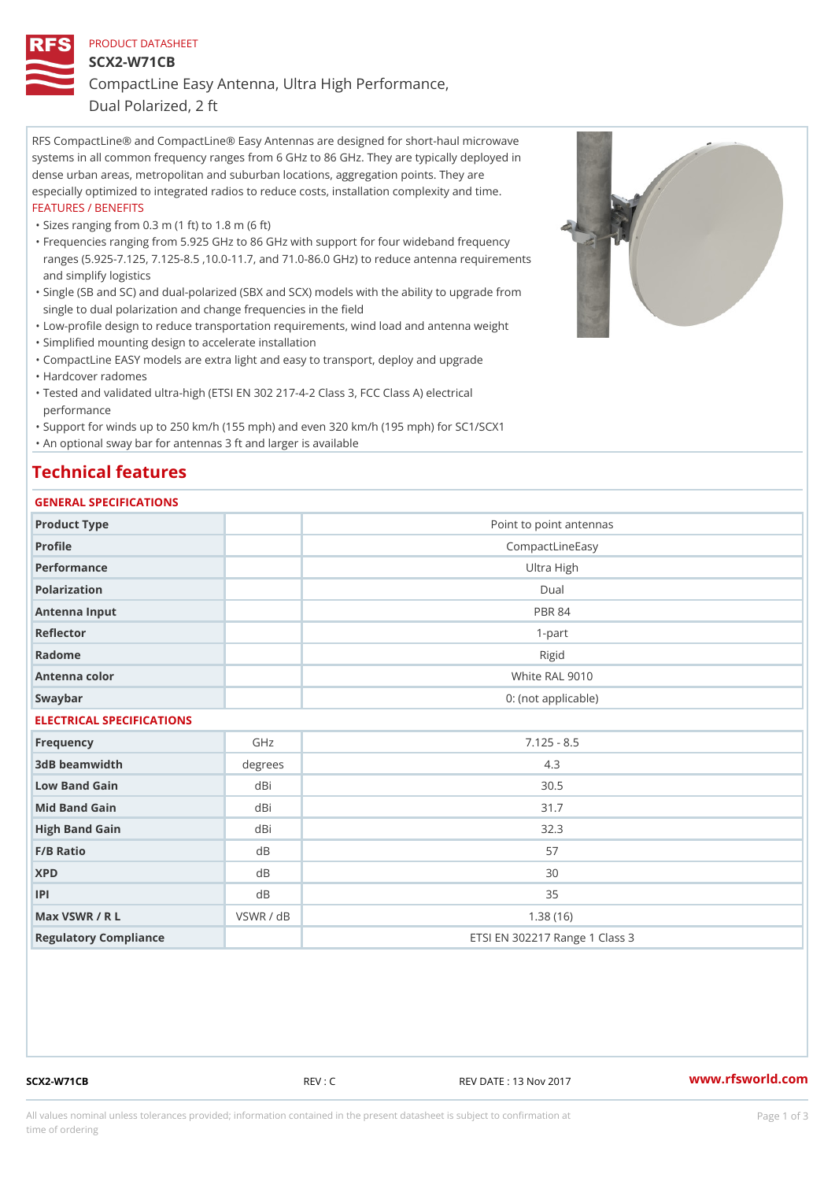# PRODUCT DATASHEET SCX2-W71CB CompactLine Easy Antenna, Ultra High Performance,

Dual Polarized, 2 ft

RFS CompactLine® and CompactLine® Easy Antennas are designed for short-haul microwave systems in all common frequency ranges from 6 GHz to 86 GHz. They are typically deployed in dense urban areas, metropolitan and suburban locations, aggregation points. They are especially optimized to integrated radios to reduce costs, installation complexity and time. FEATURES / BENEFITS

"Sizes ranging from 0.3 m (1 ft) to 1.8 m (6 ft)

- Frequencies ranging from 5.925 GHz to 86 GHz with support for four wideband frequency " ranges (5.925-7.125, 7.125-8.5 ,10.0-11.7, and 71.0-86.0 GHz) to reduce antenna requirements and simplify logistics
- Single (SB and SC) and dual-polarized (SBX and SCX) models with the ability to upgrade from " single to dual polarization and change frequencies in the field
- "Low-profile design to reduce transportation requirements, wind load and antenna weight
- "Simplified mounting design to accelerate installation

 "CompactLine EASY models are extra light and easy to transport, deploy and upgrade "Hardcover radomes

Tested and validated ultra-high (ETSI EN 302 217-4-2 Class 3, FCC Class A) electrical " performance

 "Support for winds up to 250 km/h (155 mph) and even 320 km/h (195 mph) for SC1/SCX1 "An optional sway bar for antennas 3 ft and larger is available

## Technical features

### GENERAL SPECIFICATIONS

| Product Type              |           | Point to point antennas        |  |  |
|---------------------------|-----------|--------------------------------|--|--|
| Profile                   |           | CompactLineEasy                |  |  |
| Performance               |           | Ultra High                     |  |  |
| Polarization              |           | $D$ ual                        |  |  |
| Antenna Input             |           | <b>PBR 84</b>                  |  |  |
| Reflector                 |           | $1 - p$ art                    |  |  |
| Radome                    |           | Rigid                          |  |  |
| Antenna color             |           | White RAL 9010                 |  |  |
| Swaybar                   |           | 0: (not applicable)            |  |  |
| ELECTRICAL SPECIFICATIONS |           |                                |  |  |
| Frequency                 | GHz       | $7.125 - 8.5$                  |  |  |
| 3dB beamwidth             | degrees   | 4.3                            |  |  |
| Low Band Gain             | dBi       | $30.5$                         |  |  |
| Mid Band Gain             | dBi       | 31.7                           |  |  |
| High Band Gain            | dBi       | 32.3                           |  |  |
| $F/B$ Ratio               | d B       | 57                             |  |  |
| <b>XPD</b>                | d B       | 30                             |  |  |
| P                         | d B       | 35                             |  |  |
| Max VSWR / R L            | VSWR / dB | 1.38(16)                       |  |  |
| Regulatory Compliance     |           | ETSI EN 302217 Range 1 Class 3 |  |  |

SCX2-W71CB REV : C REV DATE : 13 Nov 2017 WWW.rfsworld.com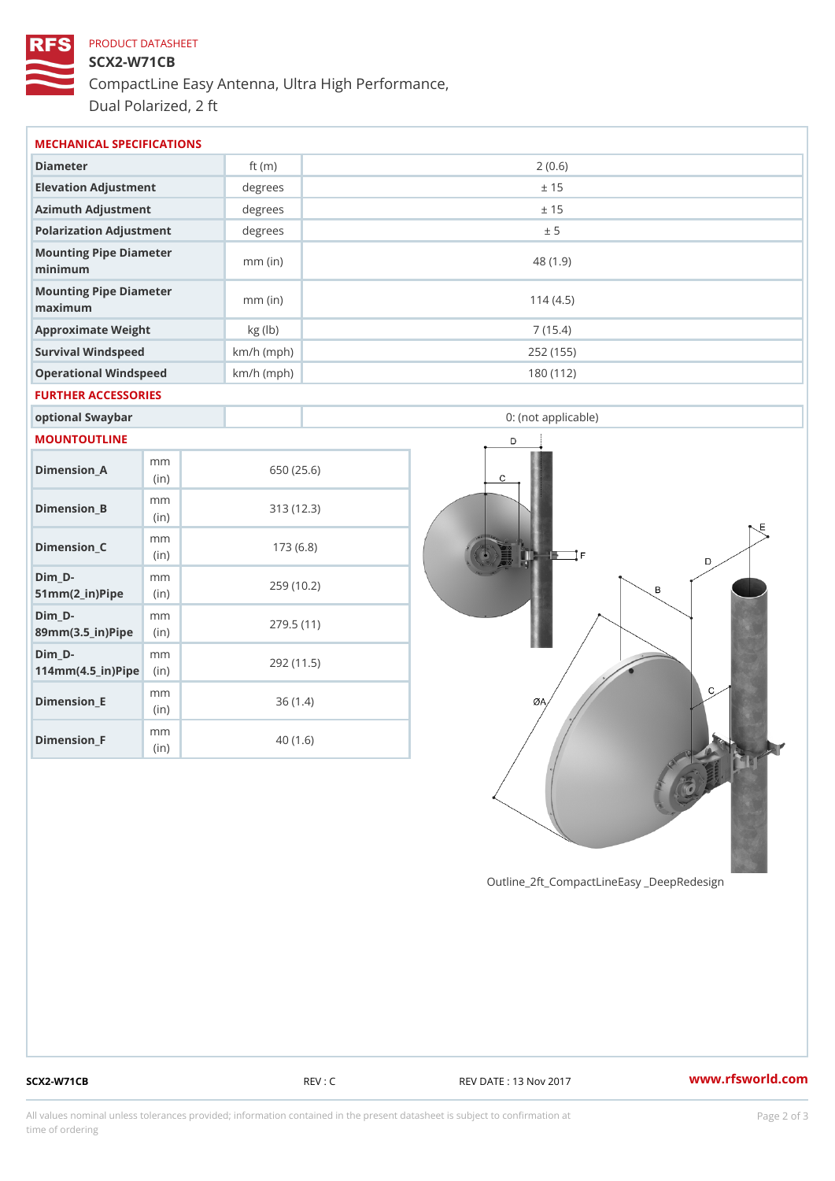# PRODUCT DATASHEET SCX2-W71CB CompactLine Easy Antenna, Ultra High Performance, Dual Polarized, 2 ft

| MECHANICAL SPECIFICATIONS                                      |       |              |            |  |                     |  |
|----------------------------------------------------------------|-------|--------------|------------|--|---------------------|--|
| Diameter                                                       |       | ft $(m)$     | 2(0.6)     |  |                     |  |
| Elevation Adjustment                                           |       | degrees      | ± 15       |  |                     |  |
| Azimuth Adjustment                                             |       | degrees      |            |  | ± 15                |  |
| Polarization Adjustment                                        |       | degrees      |            |  | ± 5                 |  |
| Mounting Pipe Diameter<br>minimum                              |       | $mm$ (in)    |            |  | 48 (1.9)            |  |
| Mounting Pipe Diameter<br>maximum                              |       | $mm$ (in)    |            |  | 114(4.5)            |  |
| Approximate Weight                                             |       | kg (lb)      |            |  | 7(15.4)             |  |
| Survival Windspeed                                             |       | $km/h$ (mph) |            |  | 252 (155)           |  |
| Operational Windspeed                                          |       | $km/h$ (mph) |            |  | 180 (112)           |  |
| FURTHER ACCESSORIES                                            |       |              |            |  |                     |  |
| optional Swaybar                                               |       |              |            |  | 0: (not applicable) |  |
| MOUNTOUTLINE                                                   |       |              |            |  |                     |  |
| m m<br>$Dimension_A$                                           | (in)  |              | 650 (25.6) |  |                     |  |
| m m<br>$Dimension_B$                                           | (in)  |              | 313(12.3)  |  |                     |  |
| m m<br>$Dimension_C$                                           | (i n) |              | 173(6.8)   |  |                     |  |
| $Dim_D - D -$<br>m m<br>$51mm(2_in)Pip@in$                     |       |              | 259 (10.2) |  |                     |  |
| $Dim_D - D -$<br>m m<br>89mm (3.5_in) Pi(pine)                 |       |              | 279.5(11)  |  |                     |  |
| $Dim_D - D -$<br>m m<br>$114$ m m $(4.5$ ir $)$ $R$ ii p $\ge$ |       |              | 292 (11.5) |  |                     |  |
| m m<br>$Dimension$ _ $E$                                       | (in)  |              | 36(1.4)    |  |                     |  |
| m m<br>$Dimension_F$                                           | (in)  |              | 40(1.6)    |  |                     |  |

SCX2-W71CB REV : C REV DATE : 13 Nov 2017 WWW.rfsworld.com